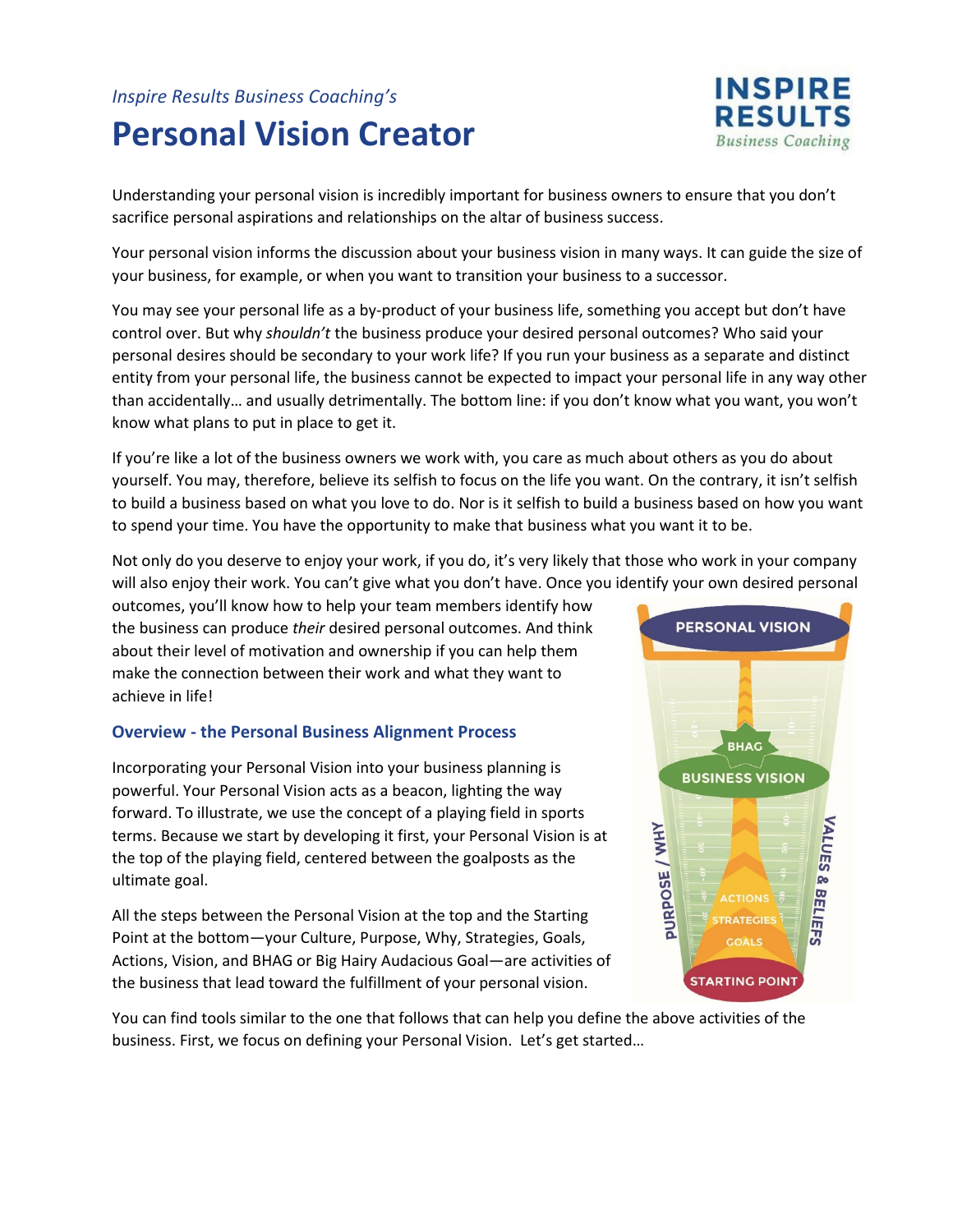## *Inspire Results Business Coaching's* **Personal Vision Creator**



Understanding your personal vision is incredibly important for business owners to ensure that you don't sacrifice personal aspirations and relationships on the altar of business success.

Your personal vision informs the discussion about your business vision in many ways. It can guide the size of your business, for example, or when you want to transition your business to a successor.

You may see your personal life as a by-product of your business life, something you accept but don't have control over. But why *shouldn't* the business produce your desired personal outcomes? Who said your personal desires should be secondary to your work life? If you run your business as a separate and distinct entity from your personal life, the business cannot be expected to impact your personal life in any way other than accidentally… and usually detrimentally. The bottom line: if you don't know what you want, you won't know what plans to put in place to get it.

If you're like a lot of the business owners we work with, you care as much about others as you do about yourself. You may, therefore, believe its selfish to focus on the life you want. On the contrary, it isn't selfish to build a business based on what you love to do. Nor is it selfish to build a business based on how you want to spend your time. You have the opportunity to make that business what you want it to be.

Not only do you deserve to enjoy your work, if you do, it's very likely that those who work in your company will also enjoy their work. You can't give what you don't have. Once you identify your own desired personal

outcomes, you'll know how to help your team members identify how the business can produce *their* desired personal outcomes. And think about their level of motivation and ownership if you can help them make the connection between their work and what they want to achieve in life!

#### **Overview - the Personal Business Alignment Process**

Incorporating your Personal Vision into your business planning is powerful. Your Personal Vision acts as a beacon, lighting the way forward. To illustrate, we use the concept of a playing field in sports terms. Because we start by developing it first, your Personal Vision is at the top of the playing field, centered between the goalposts as the ultimate goal.

All the steps between the Personal Vision at the top and the Starting Point at the bottom—your Culture, Purpose, Why, Strategies, Goals, Actions, Vision, and BHAG or Big Hairy Audacious Goal—are activities of the business that lead toward the fulfillment of your personal vision.



You can find tools similar to the one that follows that can help you define the above activities of the business. First, we focus on defining your Personal Vision. Let's get started…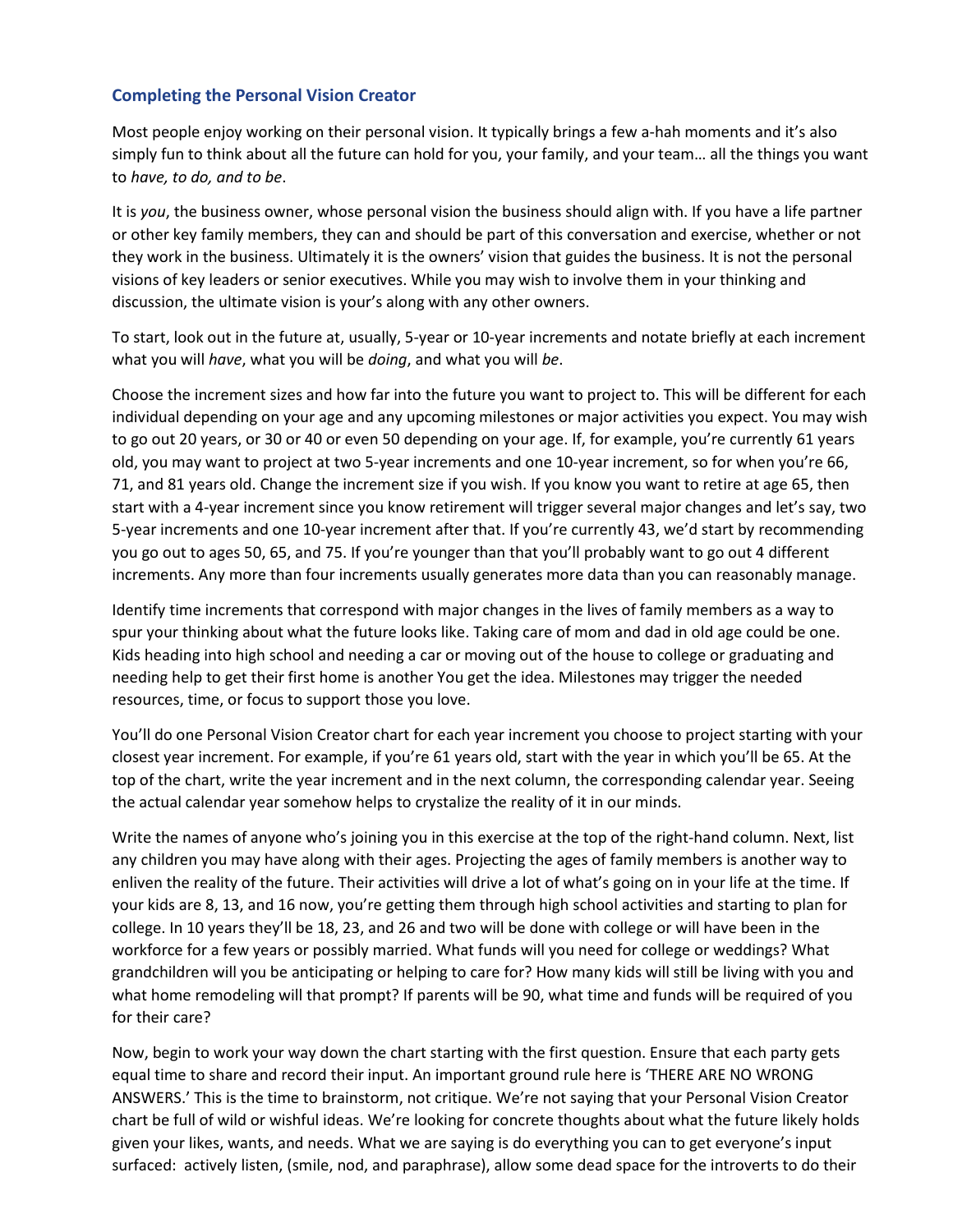#### **Completing the Personal Vision Creator**

Most people enjoy working on their personal vision. It typically brings a few a-hah moments and it's also simply fun to think about all the future can hold for you, your family, and your team… all the things you want to *have, to do, and to be*.

It is *you*, the business owner, whose personal vision the business should align with. If you have a life partner or other key family members, they can and should be part of this conversation and exercise, whether or not they work in the business. Ultimately it is the owners' vision that guides the business. It is not the personal visions of key leaders or senior executives. While you may wish to involve them in your thinking and discussion, the ultimate vision is your's along with any other owners.

To start, look out in the future at, usually, 5-year or 10-year increments and notate briefly at each increment what you will *have*, what you will be *doing*, and what you will *be*.

Choose the increment sizes and how far into the future you want to project to. This will be different for each individual depending on your age and any upcoming milestones or major activities you expect. You may wish to go out 20 years, or 30 or 40 or even 50 depending on your age. If, for example, you're currently 61 years old, you may want to project at two 5-year increments and one 10-year increment, so for when you're 66, 71, and 81 years old. Change the increment size if you wish. If you know you want to retire at age 65, then start with a 4-year increment since you know retirement will trigger several major changes and let's say, two 5-year increments and one 10-year increment after that. If you're currently 43, we'd start by recommending you go out to ages 50, 65, and 75. If you're younger than that you'll probably want to go out 4 different increments. Any more than four increments usually generates more data than you can reasonably manage.

Identify time increments that correspond with major changes in the lives of family members as a way to spur your thinking about what the future looks like. Taking care of mom and dad in old age could be one. Kids heading into high school and needing a car or moving out of the house to college or graduating and needing help to get their first home is another You get the idea. Milestones may trigger the needed resources, time, or focus to support those you love.

You'll do one Personal Vision Creator chart for each year increment you choose to project starting with your closest year increment. For example, if you're 61 years old, start with the year in which you'll be 65. At the top of the chart, write the year increment and in the next column, the corresponding calendar year. Seeing the actual calendar year somehow helps to crystalize the reality of it in our minds.

Write the names of anyone who's joining you in this exercise at the top of the right-hand column. Next, list any children you may have along with their ages. Projecting the ages of family members is another way to enliven the reality of the future. Their activities will drive a lot of what's going on in your life at the time. If your kids are 8, 13, and 16 now, you're getting them through high school activities and starting to plan for college. In 10 years they'll be 18, 23, and 26 and two will be done with college or will have been in the workforce for a few years or possibly married. What funds will you need for college or weddings? What grandchildren will you be anticipating or helping to care for? How many kids will still be living with you and what home remodeling will that prompt? If parents will be 90, what time and funds will be required of you for their care?

Now, begin to work your way down the chart starting with the first question. Ensure that each party gets equal time to share and record their input. An important ground rule here is 'THERE ARE NO WRONG ANSWERS.' This is the time to brainstorm, not critique. We're not saying that your Personal Vision Creator chart be full of wild or wishful ideas. We're looking for concrete thoughts about what the future likely holds given your likes, wants, and needs. What we are saying is do everything you can to get everyone's input surfaced: actively listen, (smile, nod, and paraphrase), allow some dead space for the introverts to do their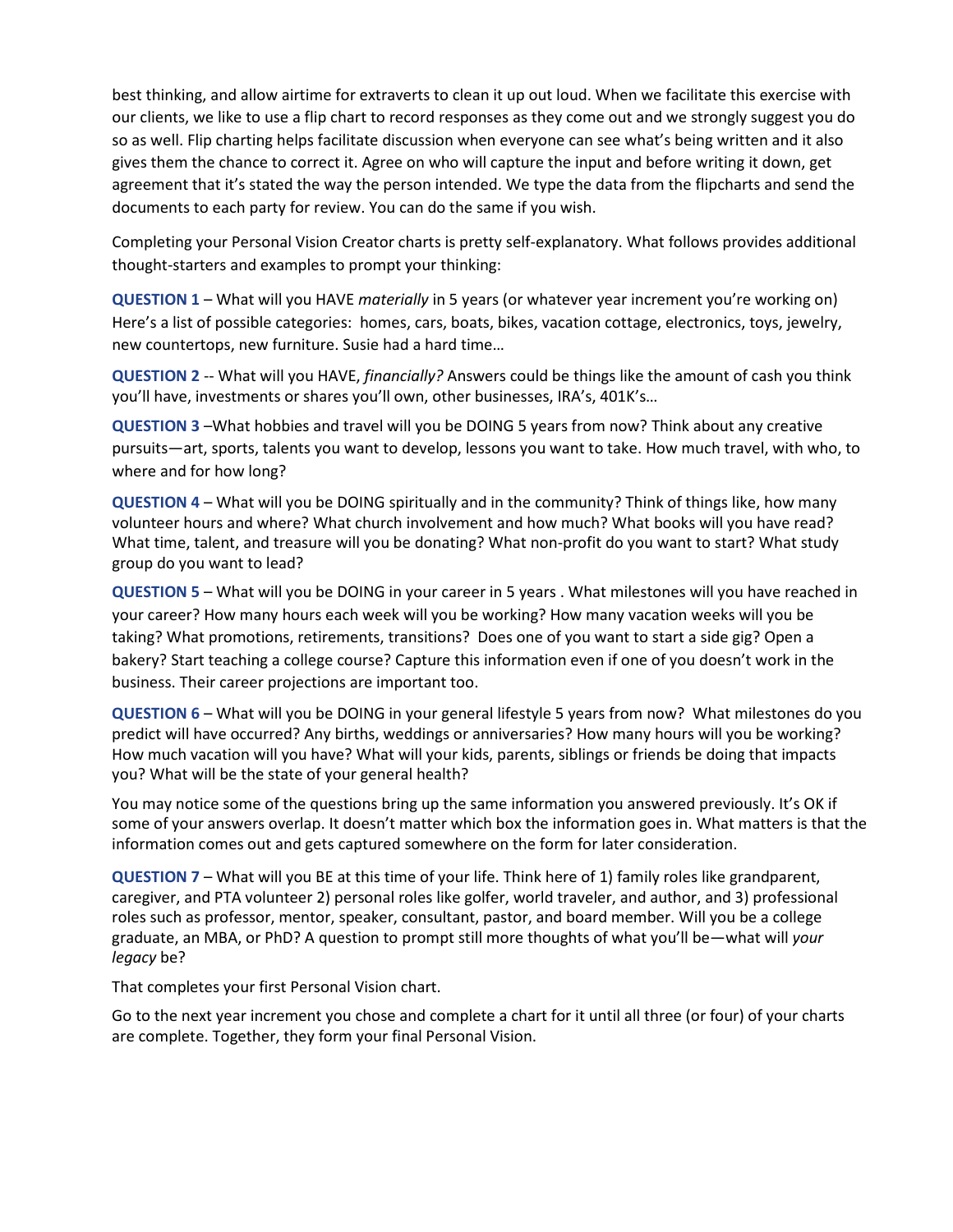best thinking, and allow airtime for extraverts to clean it up out loud. When we facilitate this exercise with our clients, we like to use a flip chart to record responses as they come out and we strongly suggest you do so as well. Flip charting helps facilitate discussion when everyone can see what's being written and it also gives them the chance to correct it. Agree on who will capture the input and before writing it down, get agreement that it's stated the way the person intended. We type the data from the flipcharts and send the documents to each party for review. You can do the same if you wish.

Completing your Personal Vision Creator charts is pretty self-explanatory. What follows provides additional thought-starters and examples to prompt your thinking:

**QUESTION 1** – What will you HAVE *materially* in 5 years (or whatever year increment you're working on) Here's a list of possible categories: homes, cars, boats, bikes, vacation cottage, electronics, toys, jewelry, new countertops, new furniture. Susie had a hard time…

**QUESTION 2** -- What will you HAVE, *financially?* Answers could be things like the amount of cash you think you'll have, investments or shares you'll own, other businesses, IRA's, 401K's…

**QUESTION 3** –What hobbies and travel will you be DOING 5 years from now? Think about any creative pursuits—art, sports, talents you want to develop, lessons you want to take. How much travel, with who, to where and for how long?

**QUESTION 4** – What will you be DOING spiritually and in the community? Think of things like, how many volunteer hours and where? What church involvement and how much? What books will you have read? What time, talent, and treasure will you be donating? What non-profit do you want to start? What study group do you want to lead?

**QUESTION 5** – What will you be DOING in your career in 5 years . What milestones will you have reached in your career? How many hours each week will you be working? How many vacation weeks will you be taking? What promotions, retirements, transitions? Does one of you want to start a side gig? Open a bakery? Start teaching a college course? Capture this information even if one of you doesn't work in the business. Their career projections are important too.

**QUESTION 6** – What will you be DOING in your general lifestyle 5 years from now? What milestones do you predict will have occurred? Any births, weddings or anniversaries? How many hours will you be working? How much vacation will you have? What will your kids, parents, siblings or friends be doing that impacts you? What will be the state of your general health?

You may notice some of the questions bring up the same information you answered previously. It's OK if some of your answers overlap. It doesn't matter which box the information goes in. What matters is that the information comes out and gets captured somewhere on the form for later consideration.

**QUESTION 7** – What will you BE at this time of your life. Think here of 1) family roles like grandparent, caregiver, and PTA volunteer 2) personal roles like golfer, world traveler, and author, and 3) professional roles such as professor, mentor, speaker, consultant, pastor, and board member. Will you be a college graduate, an MBA, or PhD? A question to prompt still more thoughts of what you'll be—what will *your legacy* be?

That completes your first Personal Vision chart.

Go to the next year increment you chose and complete a chart for it until all three (or four) of your charts are complete. Together, they form your final Personal Vision.